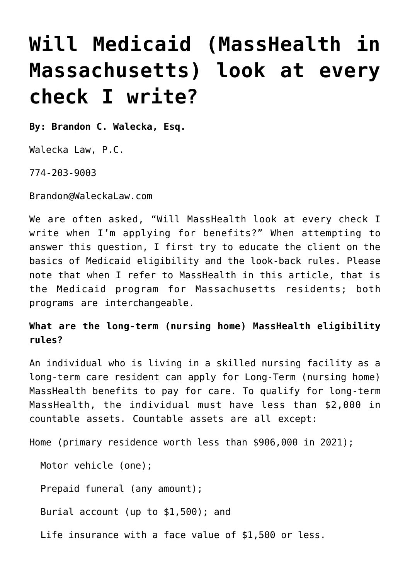## **[Will Medicaid \(MassHealth in](https://www.waleckalaw.com/will-medicaid-masshealth-in-massachusetts-look-at-every-check-i-write/) [Massachusetts\) look at every](https://www.waleckalaw.com/will-medicaid-masshealth-in-massachusetts-look-at-every-check-i-write/) [check I write?](https://www.waleckalaw.com/will-medicaid-masshealth-in-massachusetts-look-at-every-check-i-write/)**

**By: Brandon C. Walecka, Esq.**

Walecka Law, P.C.

774-203-9003

Brandon@WaleckaLaw.com

We are often asked, "Will MassHealth look at every check I write when I'm applying for benefits?" When attempting to answer this question, I first try to educate the client on the basics of Medicaid eligibility and the look-back rules. Please note that when I refer to MassHealth in this article, that is the Medicaid program for Massachusetts residents; both programs are interchangeable.

**What are the long-term (nursing home) MassHealth eligibility rules?**

An individual who is living in a skilled nursing facility as a long-term care resident can apply for Long-Term (nursing home) MassHealth benefits to pay for care. To qualify for long-term MassHealth, the individual must have less than \$2,000 in countable assets. Countable assets are all except:

Home (primary residence worth less than \$906,000 in 2021);

Motor vehicle (one);

Prepaid funeral (any amount);

Burial account (up to \$1,500); and

Life insurance with a face value of \$1,500 or less.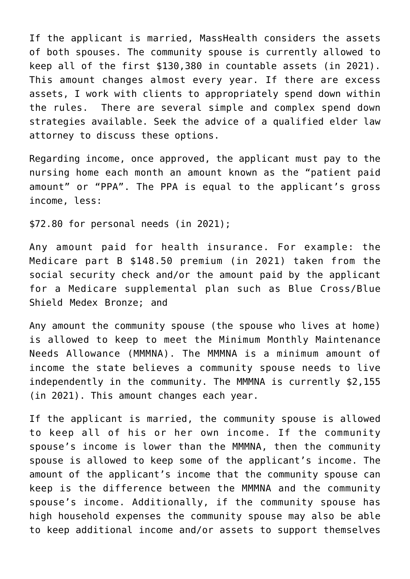If the applicant is married, MassHealth considers the assets of both spouses. The community spouse is currently allowed to keep all of the first \$130,380 in countable assets (in 2021). This amount changes almost every year. If there are excess assets, I work with clients to appropriately spend down within the rules. There are several simple and complex spend down strategies available. Seek the advice of a qualified elder law attorney to discuss these options.

Regarding income, once approved, the applicant must pay to the nursing home each month an amount known as the "patient paid amount" or "PPA". The PPA is equal to the applicant's gross income, less:

\$72.80 for personal needs (in 2021);

Any amount paid for health insurance. For example: the Medicare part B \$148.50 premium (in 2021) taken from the social security check and/or the amount paid by the applicant for a Medicare supplemental plan such as Blue Cross/Blue Shield Medex Bronze; and

Any amount the community spouse (the spouse who lives at home) is allowed to keep to meet the Minimum Monthly Maintenance Needs Allowance (MMMNA). The MMMNA is a minimum amount of income the state believes a community spouse needs to live independently in the community. The MMMNA is currently \$2,155 (in 2021). This amount changes each year.

If the applicant is married, the community spouse is allowed to keep all of his or her own income. If the community spouse's income is lower than the MMMNA, then the community spouse is allowed to keep some of the applicant's income. The amount of the applicant's income that the community spouse can keep is the difference between the MMMNA and the community spouse's income. Additionally, if the community spouse has high household expenses the community spouse may also be able to keep additional income and/or assets to support themselves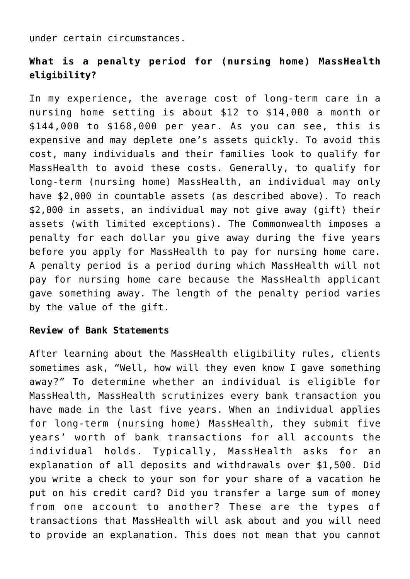under certain circumstances.

## **What is a penalty period for (nursing home) MassHealth eligibility?**

In my experience, the average cost of long-term care in a nursing home setting is about \$12 to \$14,000 a month or \$144,000 to \$168,000 per year. As you can see, this is expensive and may deplete one's assets quickly. To avoid this cost, many individuals and their families look to qualify for MassHealth to avoid these costs. Generally, to qualify for long-term (nursing home) MassHealth, an individual may only have \$2,000 in countable assets (as described above). To reach \$2,000 in assets, an individual may not give away (gift) their assets (with limited exceptions). The Commonwealth imposes a penalty for each dollar you give away during the five years before you apply for MassHealth to pay for nursing home care. A penalty period is a period during which MassHealth will not pay for nursing home care because the MassHealth applicant gave something away. The length of the penalty period varies by the value of the gift.

## **Review of Bank Statements**

After learning about the MassHealth eligibility rules, clients sometimes ask, "Well, how will they even know I gave something away?" To determine whether an individual is eligible for MassHealth, MassHealth scrutinizes every bank transaction you have made in the last five years. When an individual applies for long-term (nursing home) MassHealth, they submit five years' worth of bank transactions for all accounts the individual holds. Typically, MassHealth asks for an explanation of all deposits and withdrawals over \$1,500. Did you write a check to your son for your share of a vacation he put on his credit card? Did you transfer a large sum of money from one account to another? These are the types of transactions that MassHealth will ask about and you will need to provide an explanation. This does not mean that you cannot